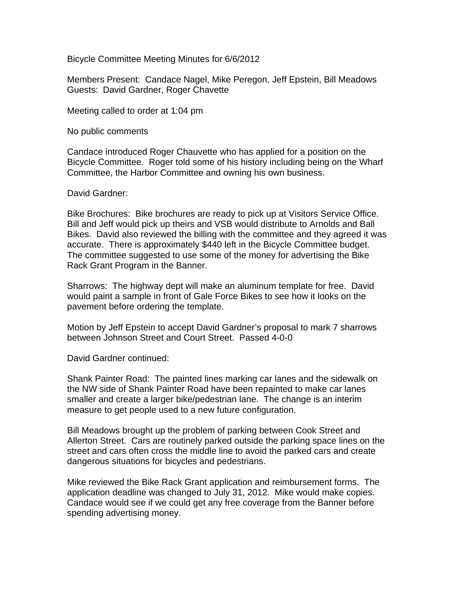Bicycle Committee Meeting Minutes for 6/6/2012

Members Present: Candace Nagel, Mike Peregon, Jeff Epstein, Bill Meadows Guests: David Gardner, Roger Chavette

Meeting called to order at 1:04 pm

No public comments

Candace introduced Roger Chauvette who has applied for a position on the Bicycle Committee. Roger told some of his history including being on the Wharf Committee, the Harbor Committee and owning his own business.

David Gardner:

Bike Brochures: Bike brochures are ready to pick up at Visitors Service Office. Bill and Jeff would pick up theirs and VSB would distribute to Arnolds and Ball Bikes. David also reviewed the billing with the committee and they agreed it was accurate. There is approximately \$440 left in the Bicycle Committee budget. The committee suggested to use some of the money for advertising the Bike Rack Grant Program in the Banner.

Sharrows: The highway dept will make an aluminum template for free. David would paint a sample in front of Gale Force Bikes to see how it looks on the pavement before ordering the template.

Motion by Jeff Epstein to accept David Gardner's proposal to mark 7 sharrows between Johnson Street and Court Street. Passed 4-0-0

David Gardner continued:

Shank Painter Road: The painted lines marking car lanes and the sidewalk on the NW side of Shank Painter Road have been repainted to make car lanes smaller and create a larger bike/pedestrian lane. The change is an interim measure to get people used to a new future configuration.

Bill Meadows brought up the problem of parking between Cook Street and Allerton Street. Cars are routinely parked outside the parking space lines on the street and cars often cross the middle line to avoid the parked cars and create dangerous situations for bicycles and pedestrians.

Mike reviewed the Bike Rack Grant application and reimbursement forms. The application deadline was changed to July 31, 2012. Mike would make copies. Candace would see if we could get any free coverage from the Banner before spending advertising money.